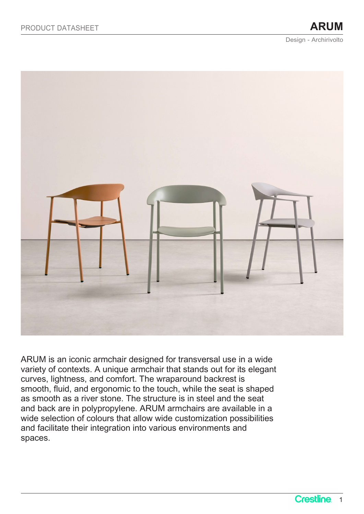

ARUM is an iconic armchair designed for transversal use in a wide variety of contexts. A unique armchair that stands out for its elegant curves, lightness, and comfort. The wraparound backrest is smooth, fluid, and ergonomic to the touch, while the seat is shaped as smooth as a river stone. The structure is in steel and the seat and back are in polypropylene. ARUM armchairs are available in a wide selection of colours that allow wide customization possibilities and facilitate their integration into various environments and spaces.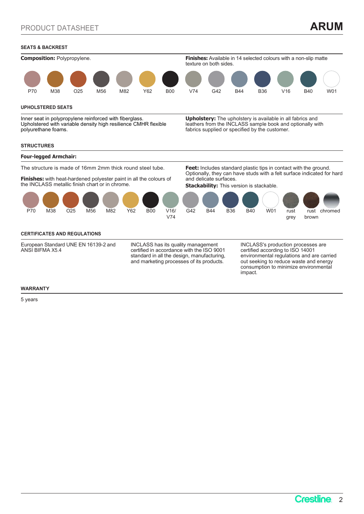# SEATS & BACKREST



### UPHOLSTERED SEATS

Inner seat in polypropylene reinforced with fiberglass. Upholstered with variable density high resilience CMHR flexible polyurethane foams.

Upholstery: The upholstery is available in all fabrics and leathers from the INCLASS sample book and optionally with fabrics supplied or specified by the customer.

## **STRUCTURES**



Finishes: with heat-hardened polyester paint in all the colours of the INCLASS metallic finish chart or in chrome.

Optionally, they can have studs with a felt surface indicated for hard and delicate surfaces.

**Stackability:** This version is stackable.



## CERTIFICATES AND REGULATIONS

European Standard UNE EN 16139-2 and ANSI BIFMA X5.4

INCLASS has its quality management certified in accordance with the ISO 9001 standard in all the design, manufacturing, and marketing processes of its products.

INCLASS's production processes are certified according to ISO 14001 environmental regulations and are carried out seeking to reduce waste and energy consumption to minimize environmental impact.

### WARRANTY

5 years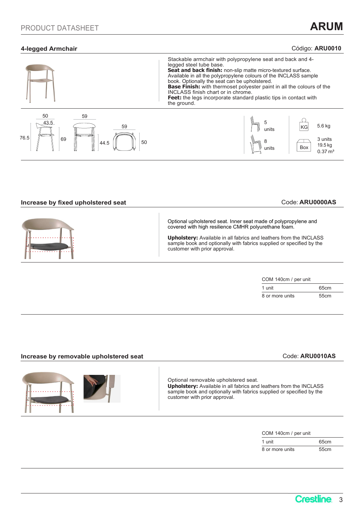# 4-legged Armchair **Código: ARU0010** Código: ARU0010



## Increase by fixed upholstered seat Code: ARU0000AS

Optional upholstered seat. Inner seat made of polypropylene and covered with high resilience CMHR polyurethane foam.

Upholstery: Available in all fabrics and leathers from the INCLASS sample book and optionally with fabrics supplied or specified by the customer with prior approval.

| COM 140cm / per unit |                  |  |
|----------------------|------------------|--|
| unit                 | 65 <sub>cm</sub> |  |
| 8 or more units      | 55 <sub>cm</sub> |  |

# Increase by removable upholstered seat Code: ARU0010AS





Optional removable upholstered seat. Upholstery: Available in all fabrics and leathers from the INCLASS sample book and optionally with fabrics supplied or specified by the customer with prior approval.

| COM 140cm / per unit |                  |
|----------------------|------------------|
| unit                 | 65cm             |
| 8 or more units      | 55 <sub>cm</sub> |